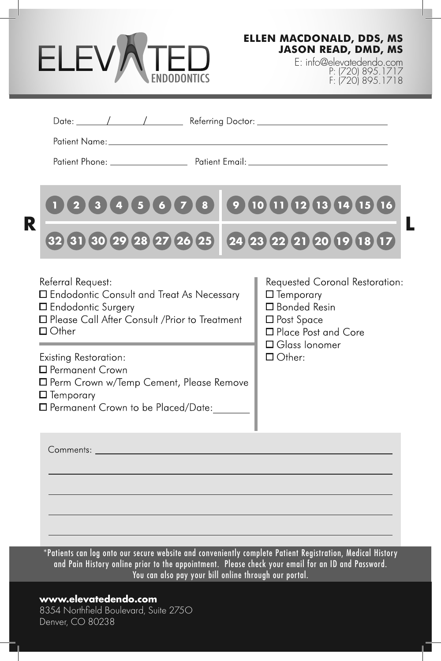## ELEV) ENDODONTICS

**ELLEN MACDONALD, DDS, MS JASON READ, DMD, MS**

> E: info@elevatedendo.com P: (720) 895.1717 F: (720) 895.1718

| Patient Name: The contract of the contract of the contract of the contract of the contract of the contract of the contract of the contract of the contract of the contract of the contract of the contract of the contract of                                                                                                                                 |                                                                                                                                                        |
|---------------------------------------------------------------------------------------------------------------------------------------------------------------------------------------------------------------------------------------------------------------------------------------------------------------------------------------------------------------|--------------------------------------------------------------------------------------------------------------------------------------------------------|
|                                                                                                                                                                                                                                                                                                                                                               |                                                                                                                                                        |
| $\overline{5}$<br>8 9<br>$6\overline{6}$<br>R                                                                                                                                                                                                                                                                                                                 | 10 11 12 13 14 15 16                                                                                                                                   |
| 32 31 30 29 28 27 26 25 24 23 22 21 20 19 18 17                                                                                                                                                                                                                                                                                                               |                                                                                                                                                        |
| Referral Request:<br>□ Endodontic Consult and Treat As Necessary<br><b>I</b> Endodontic Surgery<br>□ Please Call After Consult / Prior to Treatment<br>$\Box$ Other<br><b>Contract Contract</b><br><b>Existing Restoration:</b><br>□ Permanent Crown<br>□ Perm Crown w/Temp Cement, Please Remove<br>$\Box$ Temporary<br>□ Permanent Crown to be Placed/Date: | Requested Coronal Restoration:<br>$\Box$ Temporary<br>□ Bonded Resin<br>□ Post Space<br>□ Place Post and Core<br>$\Box$ Glass Ionomer<br>$\Box$ Other: |
| Comments: <b>Comments</b> :                                                                                                                                                                                                                                                                                                                                   |                                                                                                                                                        |
|                                                                                                                                                                                                                                                                                                                                                               |                                                                                                                                                        |
|                                                                                                                                                                                                                                                                                                                                                               |                                                                                                                                                        |
| *Patients can log onto our secure website and conveniently complete Patient Registration, Medical History<br>and Pain History online prior to the appointment. Please check your email for an ID and Password.                                                                                                                                                | You can also pay your bill online through our portal.                                                                                                  |

8354 Northfield Boulevard, Suite 275O Denver, CO 80238